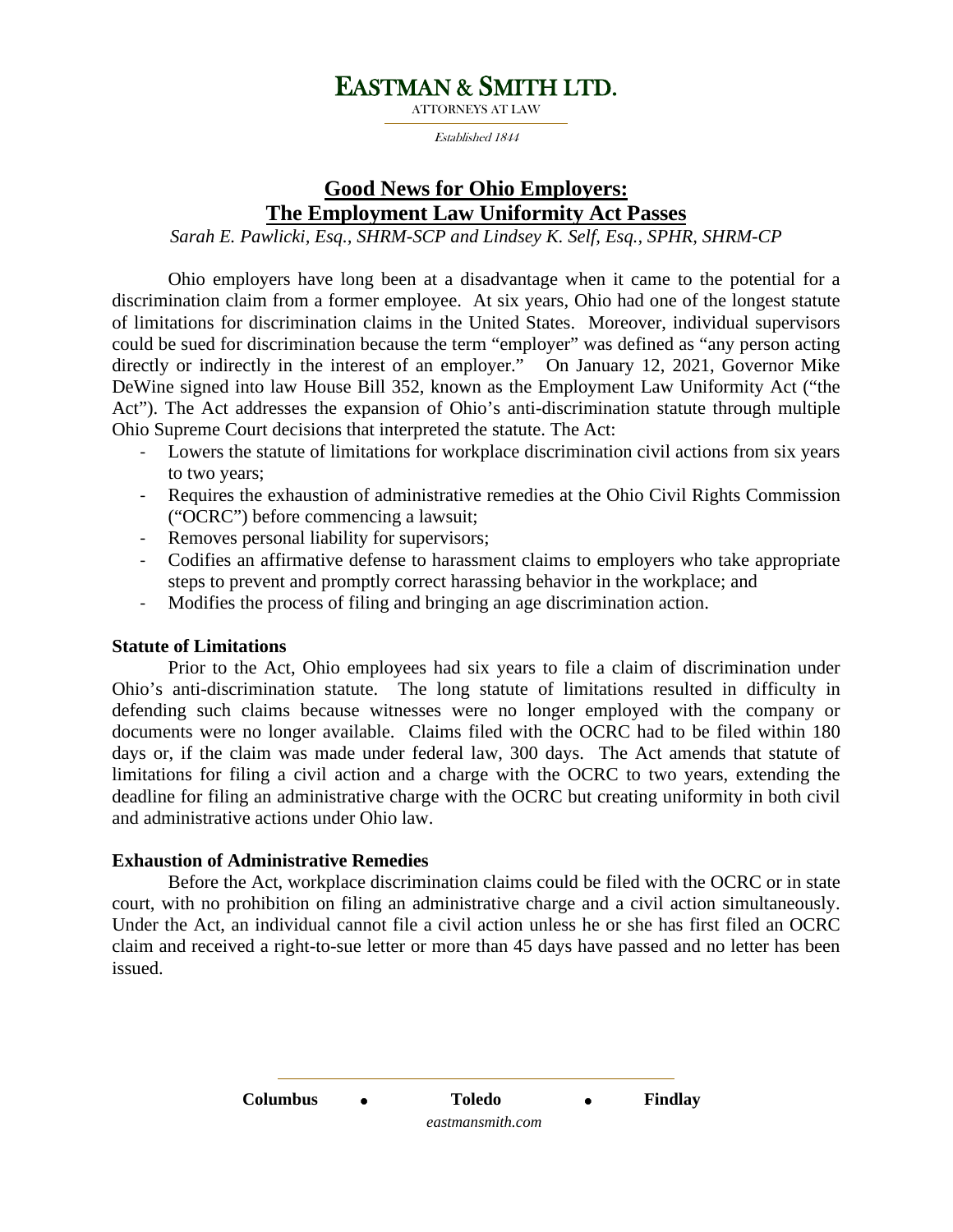# EASTMAN & SMITH LTD.

Established 1844

### **Good News for Ohio Employers: The Employment Law Uniformity Act Passes**

*Sarah E. Pawlicki, Esq., SHRM-SCP and Lindsey K. Self, Esq., SPHR, SHRM-CP*

Ohio employers have long been at a disadvantage when it came to the potential for a discrimination claim from a former employee. At six years, Ohio had one of the longest statute of limitations for discrimination claims in the United States. Moreover, individual supervisors could be sued for discrimination because the term "employer" was defined as "any person acting directly or indirectly in the interest of an employer." On January 12, 2021, Governor Mike DeWine signed into law House Bill 352, known as the Employment Law Uniformity Act ("the Act"). The Act addresses the expansion of Ohio's anti-discrimination statute through multiple Ohio Supreme Court decisions that interpreted the statute. The Act:

- Lowers the statute of limitations for workplace discrimination civil actions from six years to two years;
- Requires the exhaustion of administrative remedies at the Ohio Civil Rights Commission ("OCRC") before commencing a lawsuit;
- Removes personal liability for supervisors;
- Codifies an affirmative defense to harassment claims to employers who take appropriate steps to prevent and promptly correct harassing behavior in the workplace; and
- Modifies the process of filing and bringing an age discrimination action.

### **Statute of Limitations**

Prior to the Act, Ohio employees had six years to file a claim of discrimination under Ohio's anti-discrimination statute. The long statute of limitations resulted in difficulty in defending such claims because witnesses were no longer employed with the company or documents were no longer available. Claims filed with the OCRC had to be filed within 180 days or, if the claim was made under federal law, 300 days. The Act amends that statute of limitations for filing a civil action and a charge with the OCRC to two years, extending the deadline for filing an administrative charge with the OCRC but creating uniformity in both civil and administrative actions under Ohio law.

### **Exhaustion of Administrative Remedies**

Before the Act, workplace discrimination claims could be filed with the OCRC or in state court, with no prohibition on filing an administrative charge and a civil action simultaneously. Under the Act, an individual cannot file a civil action unless he or she has first filed an OCRC claim and received a right-to-sue letter or more than 45 days have passed and no letter has been issued.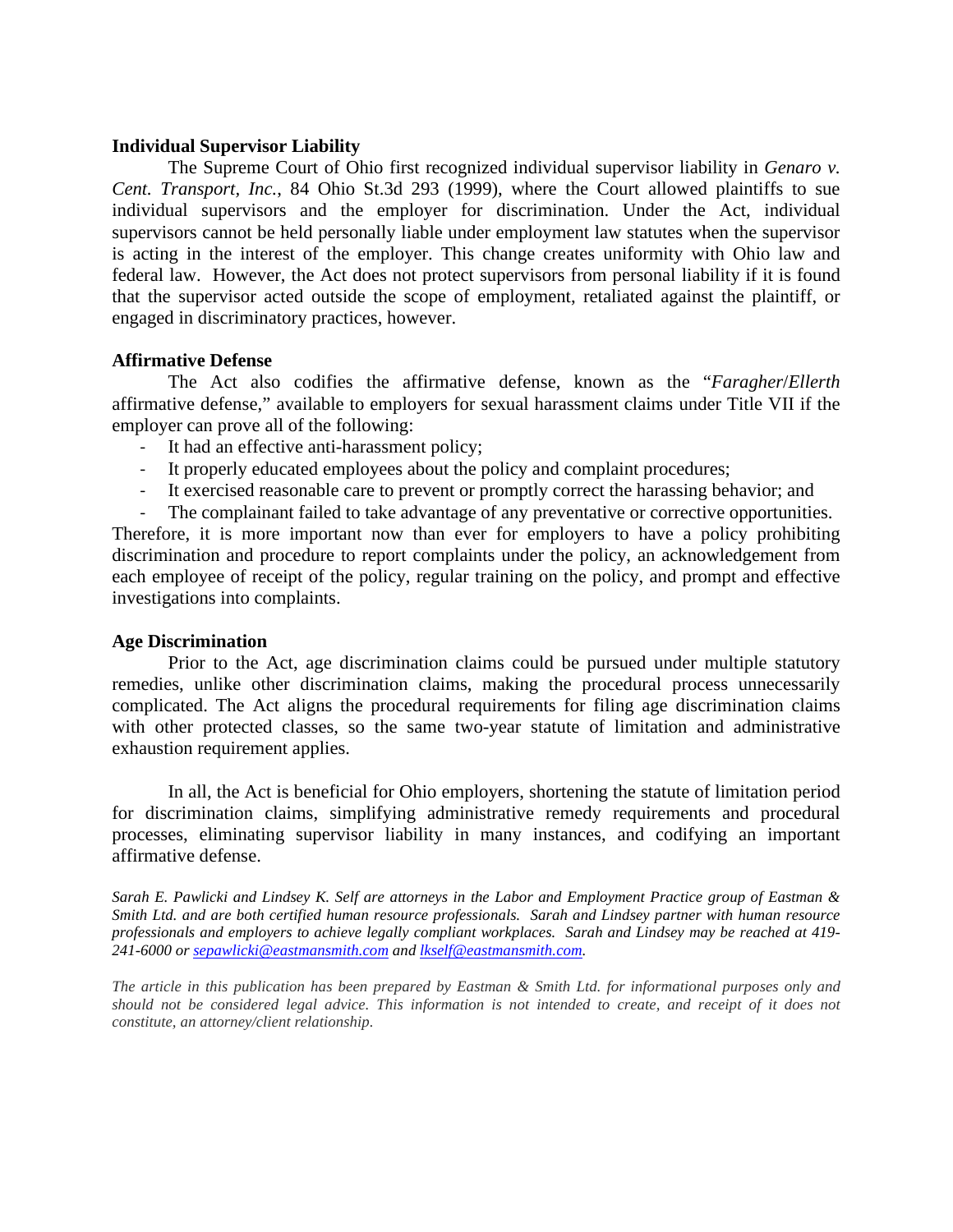#### **Individual Supervisor Liability**

The Supreme Court of Ohio first recognized individual supervisor liability in *Genaro v. Cent. Transport, Inc.*, 84 Ohio St.3d 293 (1999), where the Court allowed plaintiffs to sue individual supervisors and the employer for discrimination. Under the Act, individual supervisors cannot be held personally liable under employment law statutes when the supervisor is acting in the interest of the employer. This change creates uniformity with Ohio law and federal law. However, the Act does not protect supervisors from personal liability if it is found that the supervisor acted outside the scope of employment, retaliated against the plaintiff, or engaged in discriminatory practices, however.

### **Affirmative Defense**

The Act also codifies the affirmative defense, known as the "*Faragher*/*Ellerth* affirmative defense," available to employers for sexual harassment claims under Title VII if the employer can prove all of the following:

- It had an effective anti-harassment policy;
- It properly educated employees about the policy and complaint procedures;
- It exercised reasonable care to prevent or promptly correct the harassing behavior; and
- The complainant failed to take advantage of any preventative or corrective opportunities.

Therefore, it is more important now than ever for employers to have a policy prohibiting discrimination and procedure to report complaints under the policy, an acknowledgement from each employee of receipt of the policy, regular training on the policy, and prompt and effective investigations into complaints.

#### **Age Discrimination**

Prior to the Act, age discrimination claims could be pursued under multiple statutory remedies, unlike other discrimination claims, making the procedural process unnecessarily complicated. The Act aligns the procedural requirements for filing age discrimination claims with other protected classes, so the same two-year statute of limitation and administrative exhaustion requirement applies.

In all, the Act is beneficial for Ohio employers, shortening the statute of limitation period for discrimination claims, simplifying administrative remedy requirements and procedural processes, eliminating supervisor liability in many instances, and codifying an important affirmative defense.

*Sarah E. Pawlicki and Lindsey K. Self are attorneys in the Labor and Employment Practice group of Eastman & Smith Ltd. and are both certified human resource professionals. Sarah and Lindsey partner with human resource professionals and employers to achieve legally compliant workplaces. Sarah and Lindsey may be reached at 419- 241-6000 or [sepawlicki@eastmansmith.com](mailto:sepawlicki@eastmansmith.com) and [lkself@eastmansmith.com.](mailto:lkself@eastmansmith.com)* 

*The article in this publication has been prepared by Eastman & Smith Ltd. for informational purposes only and should not be considered legal advice. This information is not intended to create, and receipt of it does not constitute, an attorney/client relationship.*